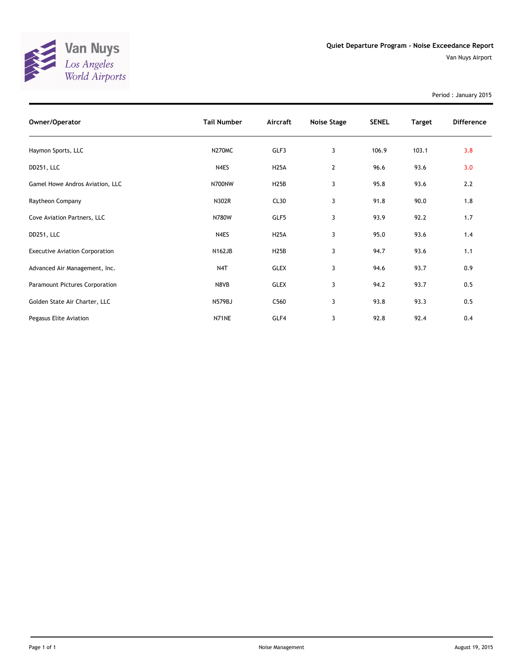

Period : January 2015

| Owner/Operator                        | <b>Tail Number</b> | Aircraft    | Noise Stage    | <b>SENEL</b> | <b>Target</b> | <b>Difference</b> |
|---------------------------------------|--------------------|-------------|----------------|--------------|---------------|-------------------|
| Haymon Sports, LLC                    | <b>N270MC</b>      | GLF3        | 3              | 106.9        | 103.1         | 3.8               |
| DD251, LLC                            | N4ES               | <b>H25A</b> | $\overline{2}$ | 96.6         | 93.6          | 3.0               |
| Gamel Howe Andros Aviation, LLC       | N700NW             | <b>H25B</b> | 3              | 95.8         | 93.6          | 2.2               |
| Raytheon Company                      | N302R              | CL30        | 3              | 91.8         | 90.0          | 1.8               |
| Cove Aviation Partners, LLC           | N780W              | GLF5        | 3              | 93.9         | 92.2          | 1.7               |
| DD251, LLC                            | N4ES               | <b>H25A</b> | 3              | 95.0         | 93.6          | 1.4               |
| <b>Executive Aviation Corporation</b> | <b>N162JB</b>      | <b>H25B</b> | 3              | 94.7         | 93.6          | 1.1               |
| Advanced Air Management, Inc.         | N4T                | GLEX        | 3              | 94.6         | 93.7          | 0.9               |
| Paramount Pictures Corporation        | N8VB               | <b>GLEX</b> | 3              | 94.2         | 93.7          | 0.5               |
| Golden State Air Charter, LLC         | N579BJ             | C560        | 3              | 93.8         | 93.3          | 0.5               |
| Pegasus Elite Aviation                | N71NE              | GLF4        | 3              | 92.8         | 92.4          | 0.4               |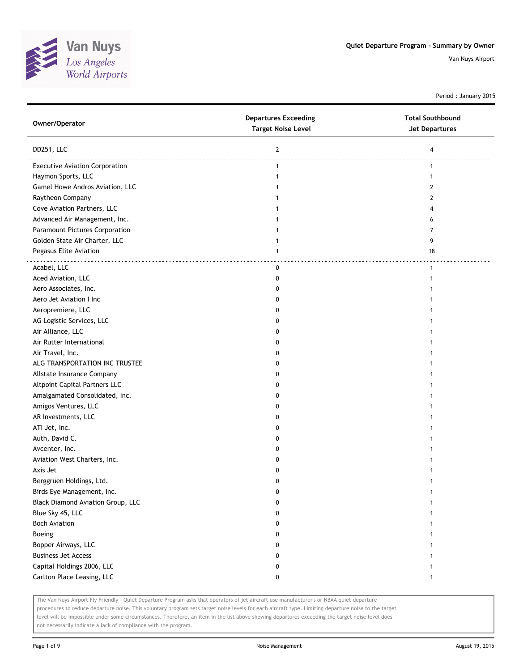

Period : January 2015

| Owner/Operator                           | <b>Departures Exceeding</b><br><b>Target Noise Level</b> | <b>Total Southbound</b><br><b>Jet Departures</b> |
|------------------------------------------|----------------------------------------------------------|--------------------------------------------------|
| DD251, LLC                               | $\overline{2}$                                           | 4                                                |
| <b>Executive Aviation Corporation</b>    | $\mathbf{1}$                                             | 1                                                |
| Haymon Sports, LLC                       | 1                                                        |                                                  |
| Gamel Howe Andros Aviation, LLC          |                                                          | 2                                                |
| Raytheon Company                         |                                                          | 2                                                |
| Cove Aviation Partners, LLC              |                                                          | 4                                                |
| Advanced Air Management, Inc.            |                                                          | 6                                                |
| Paramount Pictures Corporation           |                                                          | 7                                                |
| Golden State Air Charter, LLC            | 1                                                        | 9                                                |
| Pegasus Elite Aviation                   | $\mathbf{1}$                                             | 18                                               |
| Acabel, LLC                              | 0                                                        | $\mathbf{1}$                                     |
| Aced Aviation, LLC                       | 0                                                        |                                                  |
| Aero Associates, Inc.                    | 0                                                        |                                                  |
| Aero Jet Aviation I Inc                  | o                                                        |                                                  |
| Aeropremiere, LLC                        | o                                                        |                                                  |
| AG Logistic Services, LLC                | 0                                                        |                                                  |
| Air Alliance, LLC                        | 0                                                        |                                                  |
| Air Rutter International                 | 0                                                        |                                                  |
| Air Travel, Inc.                         | 0                                                        |                                                  |
| ALG TRANSPORTATION INC TRUSTEE           | 0                                                        |                                                  |
| Allstate Insurance Company               | 0                                                        |                                                  |
| Altpoint Capital Partners LLC            | 0                                                        |                                                  |
| Amalgamated Consolidated, Inc.           | o                                                        |                                                  |
| Amigos Ventures, LLC                     | 0                                                        |                                                  |
| AR Investments, LLC                      | 0                                                        |                                                  |
| ATI Jet, Inc.                            | 0                                                        |                                                  |
| Auth, David C.                           | 0                                                        |                                                  |
| Avcenter, Inc.                           | 0                                                        |                                                  |
| Aviation West Charters, Inc.             | 0                                                        |                                                  |
| Axis Jet                                 | 0                                                        |                                                  |
| Berggruen Holdings, Ltd.                 | 0                                                        |                                                  |
| Birds Eye Management, Inc.               |                                                          |                                                  |
| <b>Black Diamond Aviation Group, LLC</b> | 0                                                        |                                                  |
| Blue Sky 45, LLC                         | 0                                                        |                                                  |
| <b>Boch Aviation</b>                     | 0                                                        |                                                  |
| Boeing                                   | 0                                                        |                                                  |
| Bopper Airways, LLC                      | 0                                                        |                                                  |
| <b>Business Jet Access</b>               | 0                                                        |                                                  |
| Capital Holdings 2006, LLC               | 0                                                        |                                                  |
| Carlton Place Leasing, LLC               | 0                                                        | 1                                                |
|                                          |                                                          |                                                  |

The Van Nuys Airport Fly Friendly - Quiet Departure Program asks that operators of jet aircraft use manufacturer's or NBAA quiet departure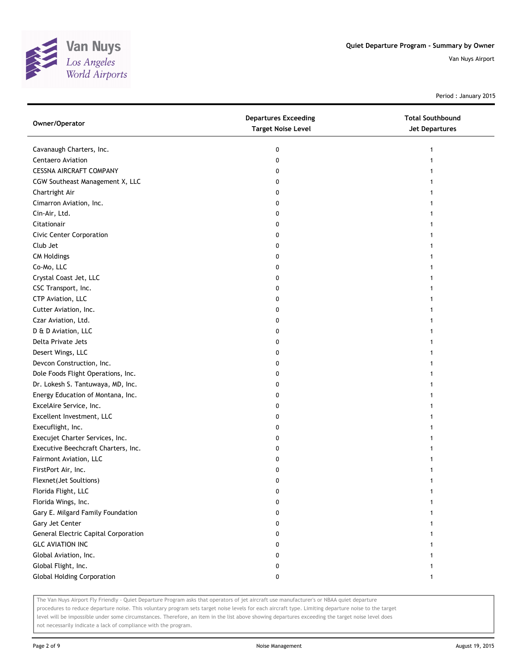

Period : January 2015

| Owner/Operator                              | <b>Departures Exceeding</b><br><b>Target Noise Level</b> | <b>Total Southbound</b><br><b>Jet Departures</b> |
|---------------------------------------------|----------------------------------------------------------|--------------------------------------------------|
| Cavanaugh Charters, Inc.                    | 0                                                        | 1                                                |
| Centaero Aviation                           | 0                                                        |                                                  |
| <b>CESSNA AIRCRAFT COMPANY</b>              | 0                                                        |                                                  |
| CGW Southeast Management X, LLC             | 0                                                        |                                                  |
| Chartright Air                              | 0                                                        |                                                  |
| Cimarron Aviation, Inc.                     | 0                                                        |                                                  |
| Cin-Air, Ltd.                               | 0                                                        |                                                  |
| Citationair                                 | 0                                                        |                                                  |
| Civic Center Corporation                    | 0                                                        |                                                  |
| Club Jet                                    | 0                                                        |                                                  |
| <b>CM Holdings</b>                          | 0                                                        |                                                  |
| Co-Mo, LLC                                  | 0                                                        |                                                  |
| Crystal Coast Jet, LLC                      | 0                                                        |                                                  |
| CSC Transport, Inc.                         | 0                                                        |                                                  |
| CTP Aviation, LLC                           | 0                                                        |                                                  |
| Cutter Aviation, Inc.                       | 0                                                        |                                                  |
| Czar Aviation, Ltd.                         | 0                                                        |                                                  |
| D & D Aviation, LLC                         | 0                                                        |                                                  |
| Delta Private Jets                          | 0                                                        |                                                  |
| Desert Wings, LLC                           | 0                                                        |                                                  |
| Devcon Construction, Inc.                   | 0                                                        |                                                  |
| Dole Foods Flight Operations, Inc.          | 0                                                        |                                                  |
| Dr. Lokesh S. Tantuwaya, MD, Inc.           | 0                                                        |                                                  |
| Energy Education of Montana, Inc.           | 0                                                        |                                                  |
| ExcelAire Service, Inc.                     | 0                                                        |                                                  |
| Excellent Investment, LLC                   | 0                                                        |                                                  |
| Execuflight, Inc.                           | 0                                                        |                                                  |
| Execujet Charter Services, Inc.             | 0                                                        |                                                  |
| Executive Beechcraft Charters, Inc.         | 0                                                        |                                                  |
| Fairmont Aviation, LLC                      | 0                                                        |                                                  |
| FirstPort Air, Inc.                         | 0                                                        |                                                  |
| Flexnet(Jet Soultions)                      | 0                                                        |                                                  |
| Florida Flight, LLC                         | 0                                                        |                                                  |
| Florida Wings, Inc.                         | 0                                                        |                                                  |
| Gary E. Milgard Family Foundation           | 0                                                        |                                                  |
| Gary Jet Center                             | 0                                                        |                                                  |
| <b>General Electric Capital Corporation</b> | 0                                                        |                                                  |
| <b>GLC AVIATION INC</b>                     | 0                                                        |                                                  |
| Global Aviation, Inc.                       | 0                                                        |                                                  |
| Global Flight, Inc.                         | 0                                                        |                                                  |
| <b>Global Holding Corporation</b>           | 0                                                        | 1                                                |

The Van Nuys Airport Fly Friendly - Quiet Departure Program asks that operators of jet aircraft use manufacturer's or NBAA quiet departure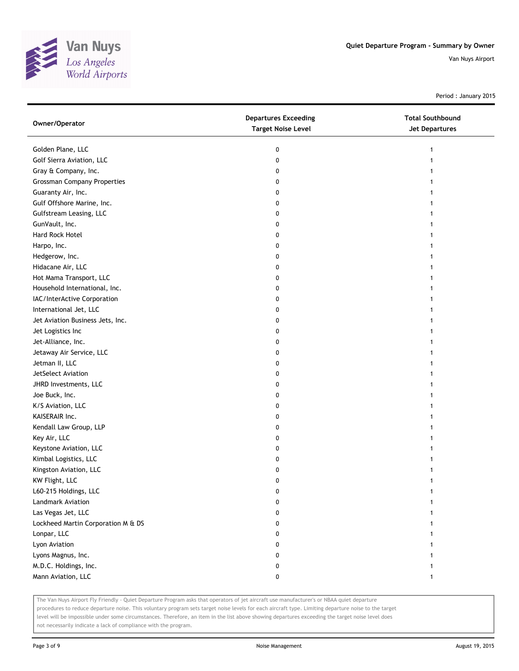

Period : January 2015

| Owner/Operator                     | <b>Departures Exceeding</b><br><b>Target Noise Level</b> | <b>Total Southbound</b><br>Jet Departures |
|------------------------------------|----------------------------------------------------------|-------------------------------------------|
| Golden Plane, LLC                  | 0                                                        | 1                                         |
| Golf Sierra Aviation, LLC          | 0                                                        |                                           |
| Gray & Company, Inc.               | 0                                                        |                                           |
| <b>Grossman Company Properties</b> | 0                                                        |                                           |
| Guaranty Air, Inc.                 | 0                                                        |                                           |
| Gulf Offshore Marine, Inc.         | 0                                                        |                                           |
| Gulfstream Leasing, LLC            | 0                                                        |                                           |
| GunVault, Inc.                     | 0                                                        |                                           |
| Hard Rock Hotel                    | 0                                                        |                                           |
| Harpo, Inc.                        | 0                                                        |                                           |
| Hedgerow, Inc.                     | 0                                                        |                                           |
| Hidacane Air, LLC                  | 0                                                        |                                           |
| Hot Mama Transport, LLC            | 0                                                        |                                           |
| Household International, Inc.      | 0                                                        | 1                                         |
| IAC/InterActive Corporation        | 0                                                        | 1                                         |
| International Jet, LLC             | 0                                                        |                                           |
| Jet Aviation Business Jets, Inc.   | 0                                                        |                                           |
| Jet Logistics Inc                  | 0                                                        |                                           |
| Jet-Alliance, Inc.                 | 0                                                        |                                           |
| Jetaway Air Service, LLC           | 0                                                        |                                           |
| Jetman II, LLC                     | 0                                                        |                                           |
| JetSelect Aviation                 | 0                                                        |                                           |
| JHRD Investments, LLC              | 0                                                        |                                           |
| Joe Buck, Inc.                     | 0                                                        |                                           |
| K/S Aviation, LLC                  | 0                                                        | 1                                         |
| KAISERAIR Inc.                     | 0                                                        | 1                                         |
| Kendall Law Group, LLP             | 0                                                        |                                           |
| Key Air, LLC                       | 0                                                        |                                           |
| Keystone Aviation, LLC             | 0                                                        |                                           |
| Kimbal Logistics, LLC              | 0                                                        |                                           |
| Kingston Aviation, LLC             | 0                                                        |                                           |
| KW Flight, LLC                     | 0                                                        |                                           |
| L60-215 Holdings, LLC              | 0                                                        |                                           |
| Landmark Aviation                  | 0                                                        |                                           |
| Las Vegas Jet, LLC                 | 0                                                        |                                           |
| Lockheed Martin Corporation M & DS | 0                                                        |                                           |
| Lonpar, LLC                        | 0                                                        |                                           |
| Lyon Aviation                      | 0                                                        |                                           |
| Lyons Magnus, Inc.                 | 0                                                        |                                           |
| M.D.C. Holdings, Inc.              | 0                                                        |                                           |
| Mann Aviation, LLC                 | 0                                                        | 1                                         |

The Van Nuys Airport Fly Friendly - Quiet Departure Program asks that operators of jet aircraft use manufacturer's or NBAA quiet departure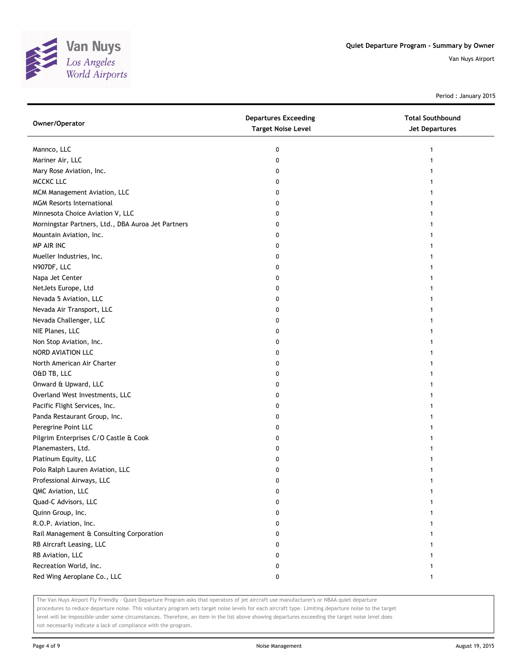

Period : January 2015

| Owner/Operator                                     | <b>Departures Exceeding</b><br><b>Target Noise Level</b> | <b>Total Southbound</b><br>Jet Departures |
|----------------------------------------------------|----------------------------------------------------------|-------------------------------------------|
| Mannco, LLC                                        | 0                                                        |                                           |
| Mariner Air, LLC                                   | 0                                                        |                                           |
| Mary Rose Aviation, Inc.                           | 0                                                        |                                           |
| <b>MCCKC LLC</b>                                   | 0                                                        |                                           |
| MCM Management Aviation, LLC                       | 0                                                        |                                           |
| <b>MGM Resorts International</b>                   | 0                                                        |                                           |
| Minnesota Choice Aviation V, LLC                   | 0                                                        |                                           |
| Morningstar Partners, Ltd., DBA Auroa Jet Partners | 0                                                        |                                           |
| Mountain Aviation, Inc.                            | 0                                                        |                                           |
| MP AIR INC                                         | 0                                                        |                                           |
| Mueller Industries, Inc.                           | 0                                                        |                                           |
| N907DF, LLC                                        | 0                                                        |                                           |
| Napa Jet Center                                    | 0                                                        |                                           |
| NetJets Europe, Ltd                                | 0                                                        |                                           |
| Nevada 5 Aviation, LLC                             | 0                                                        |                                           |
| Nevada Air Transport, LLC                          | 0                                                        |                                           |
| Nevada Challenger, LLC                             | 0                                                        |                                           |
| NIE Planes, LLC                                    | 0                                                        |                                           |
| Non Stop Aviation, Inc.                            | 0                                                        |                                           |
| NORD AVIATION LLC                                  | 0                                                        |                                           |
| North American Air Charter                         | 0                                                        |                                           |
| O&D TB, LLC                                        | 0                                                        |                                           |
| Onward & Upward, LLC                               | 0                                                        |                                           |
| Overland West Investments, LLC                     | 0                                                        |                                           |
| Pacific Flight Services, Inc.                      | 0                                                        |                                           |
| Panda Restaurant Group, Inc.                       | 0                                                        |                                           |
| Peregrine Point LLC                                | 0                                                        |                                           |
| Pilgrim Enterprises C/O Castle & Cook              | 0                                                        |                                           |
| Planemasters, Ltd.                                 | 0                                                        |                                           |
| Platinum Equity, LLC                               | 0                                                        |                                           |
| Polo Ralph Lauren Aviation, LLC                    | 0                                                        |                                           |
| Professional Airways, LLC                          | 0                                                        |                                           |
| QMC Aviation, LLC                                  | 0                                                        |                                           |
| Quad-C Advisors, LLC                               | 0                                                        |                                           |
| Quinn Group, Inc.                                  | 0                                                        |                                           |
| R.O.P. Aviation, Inc.                              | 0                                                        |                                           |
| Rail Management & Consulting Corporation           | 0                                                        |                                           |
| RB Aircraft Leasing, LLC                           | 0                                                        |                                           |
| RB Aviation, LLC                                   | 0                                                        |                                           |
| Recreation World, Inc.                             | 0                                                        |                                           |
| Red Wing Aeroplane Co., LLC                        | 0                                                        | 1                                         |

The Van Nuys Airport Fly Friendly - Quiet Departure Program asks that operators of jet aircraft use manufacturer's or NBAA quiet departure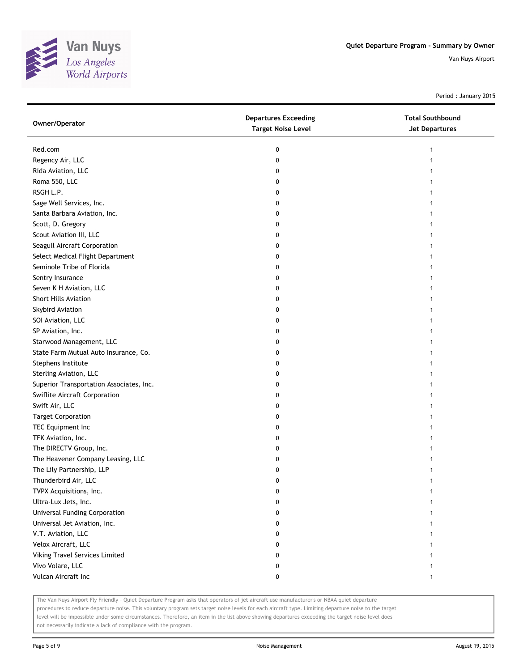

Period : January 2015

| Owner/Operator                           | <b>Departures Exceeding</b><br><b>Target Noise Level</b> | <b>Total Southbound</b><br>Jet Departures |
|------------------------------------------|----------------------------------------------------------|-------------------------------------------|
| Red.com                                  | 0                                                        | 1                                         |
| Regency Air, LLC                         | 0                                                        |                                           |
| Rida Aviation, LLC                       | 0                                                        |                                           |
| Roma 550, LLC                            | 0                                                        |                                           |
| RSGH L.P.                                | 0                                                        |                                           |
| Sage Well Services, Inc.                 | 0                                                        |                                           |
| Santa Barbara Aviation, Inc.             | 0                                                        |                                           |
| Scott, D. Gregory                        | 0                                                        |                                           |
| Scout Aviation III, LLC                  | 0                                                        |                                           |
| Seagull Aircraft Corporation             | 0                                                        |                                           |
| Select Medical Flight Department         | 0                                                        |                                           |
| Seminole Tribe of Florida                | 0                                                        |                                           |
| Sentry Insurance                         | 0                                                        |                                           |
| Seven K H Aviation, LLC                  | 0                                                        |                                           |
| <b>Short Hills Aviation</b>              | 0                                                        |                                           |
| Skybird Aviation                         | 0                                                        |                                           |
| SOI Aviation, LLC                        | 0                                                        |                                           |
| SP Aviation, Inc.                        | 0                                                        |                                           |
| Starwood Management, LLC                 | 0                                                        |                                           |
| State Farm Mutual Auto Insurance, Co.    | 0                                                        |                                           |
| Stephens Institute                       | 0                                                        |                                           |
| Sterling Aviation, LLC                   | 0                                                        |                                           |
| Superior Transportation Associates, Inc. | 0                                                        |                                           |
| Swiflite Aircraft Corporation            | 0                                                        |                                           |
| Swift Air, LLC                           | 0                                                        |                                           |
| <b>Target Corporation</b>                | 0                                                        |                                           |
| TEC Equipment Inc                        | 0                                                        |                                           |
| TFK Aviation, Inc.                       | 0                                                        |                                           |
| The DIRECTV Group, Inc.                  | 0                                                        |                                           |
| The Heavener Company Leasing, LLC        | 0                                                        |                                           |
| The Lily Partnership, LLP                | 0                                                        |                                           |
| Thunderbird Air, LLC                     | 0                                                        |                                           |
| TVPX Acquisitions, Inc.                  | 0                                                        |                                           |
| Ultra-Lux Jets, Inc.                     | 0                                                        |                                           |
| Universal Funding Corporation            | 0                                                        |                                           |
| Universal Jet Aviation, Inc.             | 0                                                        |                                           |
| V.T. Aviation, LLC                       | 0                                                        |                                           |
| Velox Aircraft, LLC                      | 0                                                        |                                           |
| Viking Travel Services Limited           | 0                                                        |                                           |
| Vivo Volare, LLC                         | 0                                                        |                                           |
| Vulcan Aircraft Inc                      | 0                                                        | 1                                         |

The Van Nuys Airport Fly Friendly - Quiet Departure Program asks that operators of jet aircraft use manufacturer's or NBAA quiet departure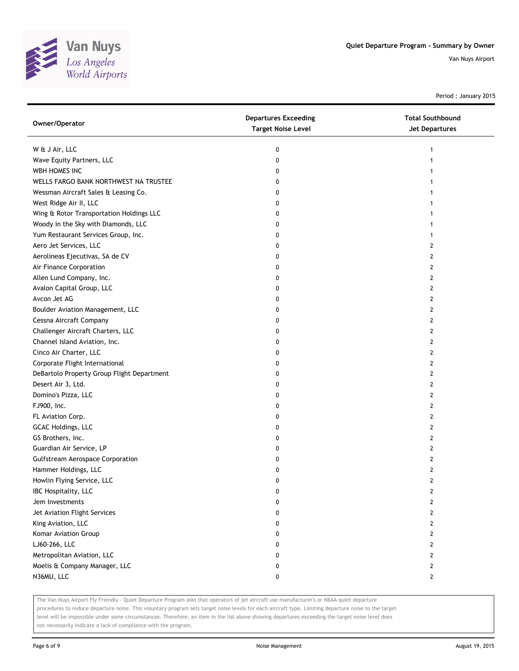

Period : January 2015

| Owner/Operator                             | <b>Departures Exceeding</b><br><b>Target Noise Level</b> | <b>Total Southbound</b><br><b>Jet Departures</b> |
|--------------------------------------------|----------------------------------------------------------|--------------------------------------------------|
| W & J Air, LLC                             | 0                                                        |                                                  |
| Wave Equity Partners, LLC                  | 0                                                        |                                                  |
| WBH HOMES INC                              | 0                                                        |                                                  |
| WELLS FARGO BANK NORTHWEST NA TRUSTEE      | 0                                                        |                                                  |
| Wessman Aircraft Sales & Leasing Co.       | 0                                                        |                                                  |
| West Ridge Air II, LLC                     | 0                                                        |                                                  |
| Wing & Rotor Transportation Holdings LLC   | 0                                                        |                                                  |
| Woody in the Sky with Diamonds, LLC        | 0                                                        |                                                  |
| Yum Restaurant Services Group, Inc.        | 0                                                        |                                                  |
| Aero Jet Services, LLC                     | 0                                                        | 2                                                |
| Aerolineas Ejecutivas, SA de CV            | 0                                                        | 2                                                |
| Air Finance Corporation                    | 0                                                        | 2                                                |
| Allen Lund Company, Inc.                   | 0                                                        | 2                                                |
| Avalon Capital Group, LLC                  | 0                                                        | 2                                                |
| Avcon Jet AG                               | 0                                                        | 2                                                |
| Boulder Aviation Management, LLC           | 0                                                        | 2                                                |
| Cessna Aircraft Company                    | 0                                                        | 2                                                |
| Challenger Aircraft Charters, LLC          | 0                                                        | 2                                                |
| Channel Island Aviation, Inc.              | 0                                                        | 2                                                |
| Cinco Air Charter, LLC                     | 0                                                        | 2                                                |
| Corporate Flight International             | 0                                                        | 2                                                |
| DeBartolo Property Group Flight Department | 0                                                        | 2                                                |
| Desert Air 3, Ltd.                         | 0                                                        | 2                                                |
| Domino's Pizza, LLC                        | 0                                                        | 2                                                |
| FJ900, Inc.                                | 0                                                        | 2                                                |
| FL Aviation Corp.                          | 0                                                        | 2                                                |
| GCAC Holdings, LLC                         | 0                                                        | 2                                                |
| GS Brothers, Inc.                          | 0                                                        | 2                                                |
| Guardian Air Service, LP                   | 0                                                        | 2                                                |
| <b>Gulfstream Aerospace Corporation</b>    | 0                                                        | 2                                                |
| Hammer Holdings, LLC                       | 0                                                        | 2                                                |
| Howlin Flying Service, LLC                 | 0                                                        | 2                                                |
| IBC Hospitality, LLC                       | 0                                                        | 2                                                |
| Jem Investments                            | 0                                                        | 2                                                |
| Jet Aviation Flight Services               | 0                                                        | 2                                                |
| King Aviation, LLC                         | 0                                                        | $\overline{2}$                                   |
| Komar Aviation Group                       | 0                                                        | 2                                                |
| LJ60-266, LLC                              | 0                                                        | 2                                                |
| Metropolitan Aviation, LLC                 | 0                                                        | 2                                                |
| Moelis & Company Manager, LLC              | 0                                                        | 2                                                |
| N36MU, LLC                                 | 0                                                        | 2                                                |

The Van Nuys Airport Fly Friendly - Quiet Departure Program asks that operators of jet aircraft use manufacturer's or NBAA quiet departure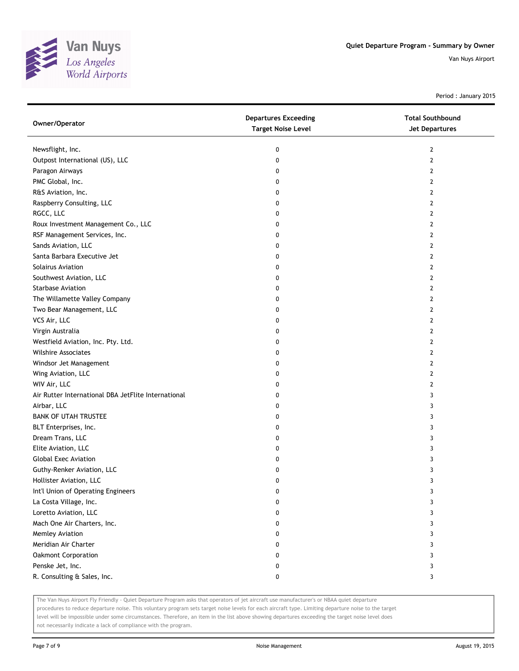

Period : January 2015

| Owner/Operator                                      | <b>Departures Exceeding</b><br><b>Target Noise Level</b> | <b>Total Southbound</b><br><b>Jet Departures</b> |
|-----------------------------------------------------|----------------------------------------------------------|--------------------------------------------------|
| Newsflight, Inc.                                    | 0                                                        | 2                                                |
| Outpost International (US), LLC                     | 0                                                        | 2                                                |
| Paragon Airways                                     | 0                                                        | 2                                                |
| PMC Global, Inc.                                    | 0                                                        | 2                                                |
| R&S Aviation, Inc.                                  | 0                                                        | 2                                                |
| Raspberry Consulting, LLC                           | 0                                                        | 2                                                |
| RGCC, LLC                                           | 0                                                        | 2                                                |
| Roux Investment Management Co., LLC                 | 0                                                        | 2                                                |
| RSF Management Services, Inc.                       | 0                                                        | 2                                                |
| Sands Aviation, LLC                                 | 0                                                        | 2                                                |
| Santa Barbara Executive Jet                         | 0                                                        | 2                                                |
| Solairus Aviation                                   | 0                                                        | 2                                                |
| Southwest Aviation, LLC                             | 0                                                        | 2                                                |
| <b>Starbase Aviation</b>                            | 0                                                        | 2                                                |
| The Willamette Valley Company                       | 0                                                        | 2                                                |
| Two Bear Management, LLC                            | 0                                                        | 2                                                |
| VCS Air, LLC                                        | 0                                                        | 2                                                |
| Virgin Australia                                    | 0                                                        | 2                                                |
| Westfield Aviation, Inc. Pty. Ltd.                  | 0                                                        | 2                                                |
| <b>Wilshire Associates</b>                          | 0                                                        | 2                                                |
| Windsor Jet Management                              | 0                                                        | 2                                                |
| Wing Aviation, LLC                                  | 0                                                        | 2                                                |
| WIV Air, LLC                                        | 0                                                        | 2                                                |
| Air Rutter International DBA JetFlite International | 0                                                        | 3                                                |
| Airbar, LLC                                         | 0                                                        | 3                                                |
| <b>BANK OF UTAH TRUSTEE</b>                         | 0                                                        | 3                                                |
| BLT Enterprises, Inc.                               | 0                                                        | 3                                                |
| Dream Trans, LLC                                    | 0                                                        | 3                                                |
| Elite Aviation, LLC                                 | 0                                                        | 3                                                |
| <b>Global Exec Aviation</b>                         | 0                                                        | 3                                                |
| Guthy-Renker Aviation, LLC                          | 0                                                        | 3                                                |
| Hollister Aviation, LLC                             | 0                                                        | 3                                                |
| Int'l Union of Operating Engineers                  | 0                                                        | 3                                                |
| La Costa Village, Inc.                              | 0                                                        | 3                                                |
| Loretto Aviation, LLC                               | 0                                                        | 3                                                |
| Mach One Air Charters, Inc.                         | 0                                                        | 3                                                |
| Memley Aviation                                     | 0                                                        | 3                                                |
| Meridian Air Charter                                | 0                                                        | 3                                                |
| Oakmont Corporation                                 | 0                                                        | 3                                                |
| Penske Jet, Inc.                                    | 0                                                        | 3                                                |
| R. Consulting & Sales, Inc.                         | 0                                                        | 3                                                |

The Van Nuys Airport Fly Friendly - Quiet Departure Program asks that operators of jet aircraft use manufacturer's or NBAA quiet departure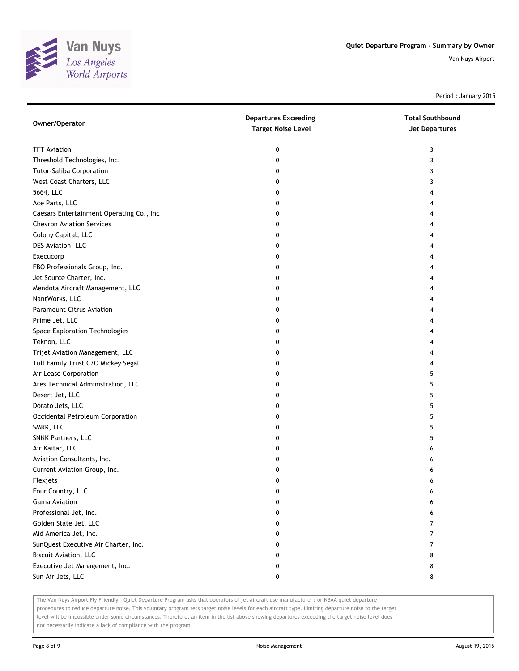

Period : January 2015

| Owner/Operator                           | <b>Departures Exceeding</b><br><b>Target Noise Level</b> | <b>Total Southbound</b><br>Jet Departures |
|------------------------------------------|----------------------------------------------------------|-------------------------------------------|
| <b>TFT Aviation</b>                      | 0                                                        | 3                                         |
| Threshold Technologies, Inc.             | 0                                                        | 3                                         |
| Tutor-Saliba Corporation                 | 0                                                        | 3                                         |
| West Coast Charters, LLC                 | 0                                                        | 3                                         |
| 5664, LLC                                | 0                                                        | 4                                         |
| Ace Parts, LLC                           | 0                                                        | 4                                         |
| Caesars Entertainment Operating Co., Inc | 0                                                        | 4                                         |
| <b>Chevron Aviation Services</b>         | 0                                                        | 4                                         |
| Colony Capital, LLC                      | 0                                                        |                                           |
| DES Aviation, LLC                        | 0                                                        |                                           |
| Execucorp                                | 0                                                        |                                           |
| FBO Professionals Group, Inc.            | 0                                                        |                                           |
| Jet Source Charter, Inc.                 | 0                                                        |                                           |
| Mendota Aircraft Management, LLC         | 0                                                        |                                           |
| NantWorks, LLC                           | 0                                                        |                                           |
| <b>Paramount Citrus Aviation</b>         | 0                                                        |                                           |
| Prime Jet, LLC                           | 0                                                        | 4                                         |
| Space Exploration Technologies           | 0                                                        | 4                                         |
| Teknon, LLC                              | 0                                                        | 4                                         |
| Trijet Aviation Management, LLC          | 0                                                        |                                           |
| Tull Family Trust C/O Mickey Segal       | 0                                                        |                                           |
| Air Lease Corporation                    | 0                                                        | 5                                         |
| Ares Technical Administration, LLC       | 0                                                        | 5                                         |
| Desert Jet, LLC                          | 0                                                        | 5                                         |
| Dorato Jets, LLC                         | 0                                                        | 5                                         |
| Occidental Petroleum Corporation         | 0                                                        | 5                                         |
| SMRK, LLC                                | 0                                                        | 5                                         |
| SNNK Partners, LLC                       | 0                                                        | 5                                         |
| Air Kaitar, LLC                          | 0                                                        | 6                                         |
| Aviation Consultants, Inc.               | 0                                                        | 6                                         |
| Current Aviation Group, Inc.             | 0                                                        | 6                                         |
| Flexjets                                 | 0                                                        | 6                                         |
| Four Country, LLC                        | 0                                                        | 6                                         |
| <b>Gama Aviation</b>                     | 0                                                        | 6                                         |
| Professional Jet, Inc.                   | 0                                                        | 6                                         |
| Golden State Jet, LLC                    | 0                                                        | 7                                         |
| Mid America Jet, Inc.                    | 0                                                        | 7                                         |
| SunQuest Executive Air Charter, Inc.     | 0                                                        | 7                                         |
| <b>Biscuit Aviation, LLC</b>             | 0                                                        | 8                                         |
| Executive Jet Management, Inc.           | 0                                                        | 8                                         |
| Sun Air Jets, LLC                        | 0                                                        | 8                                         |

The Van Nuys Airport Fly Friendly - Quiet Departure Program asks that operators of jet aircraft use manufacturer's or NBAA quiet departure